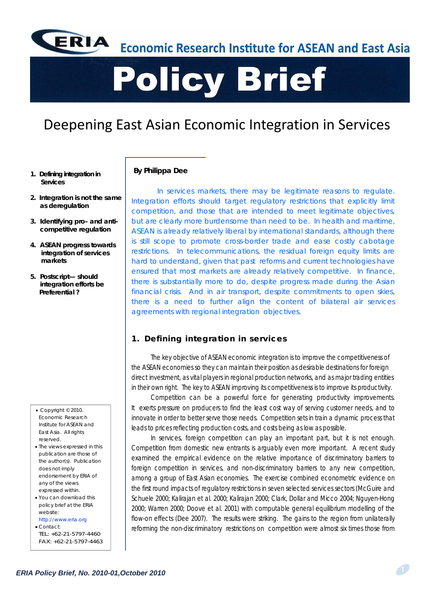

**Economic Research Institute for ASEAN and East Asia** 

# **Policy Brief**

# Deepening East Asian Economic Integration in Services

- **1. Defining integration in Services**
- **2. Integration is not the same as deregulation**
- **3. Identifying pro– and anticompetitive regulation**
- **4. ASEAN progress towards integration of services markets**
- **5. Postscript— should integration efforts be Preferential ?**

- Copyright © 2010. Economic Research Institute for ASEAN and East Asia. All rights reserved.
- The views expressed in this publication are those of the author(s). Publication does not imply endorsement by ERIA of any of the views expressed within.
- You can download this policy brief at the ERIA website: http://www.eria.org

Contact: TEL: +62-21-5797-4460 FAX: +62-21-5797-4463

#### **By Philippa Dee**

*In services markets, there may be legitimate reasons to regulate.*  Integration efforts should target regulatory restrictions that explicitly limit *competition, and those that are intended to meet legitimate objectives, but are clearly more burdensome than need to be. In health and maritime, ASEAN is already relatively liberal by international standards, although there is still scope to promote cross-border trade and ease costly cabotage restrictions. In telecommunications, the residual foreign equity limits are hard to understand, given that past reforms and current technologies have ensured that most markets are already relatively competitive. In finance, there is substantially more to do, despite progress made during the Asian financial crisis. And in air transport, despite commitments to open skies, there is a need to further align the content of bilateral air services agreements with regional integration objectives.*

# **1. Defining integration in services**

The key objective of ASEAN economic integration is to improve the competitiveness of the ASEAN economies so they can maintain their position as desirable destinations for foreign direct investment, as vital players in regional production networks, and as major trading entities in their own right. The key to ASEAN improving its competitiveness is to improve its productivity.

 Competition can be a powerful force for generating productivity improvements. It exerts pressure on producers to find the least cost way of serving customer needs, and to innovate in order to better serve those needs. Competition sets in train a dynamic process that leads to prices reflecting production costs, and costs being as low as possible.

In services, foreign competition can play an important part, but it is not enough. Competition from domestic new entrants is arguably even more important. A recent study examined the empirical evidence on the relative importance of discriminatory barriers to foreign competition in services, and non-discriminatory barriers to *any* new competition, among a group of East Asian economies. The exercise combined econometric evidence on the first round impacts of regulatory restrictions in seven selected services sectors (McGuire and Schuele 2000; Kalirajan *et al.* 2000; Kalirajan 2000; Clark, Dollar and Micco 2004; Nguyen-Hong 2000; Warren 2000; Doove *et al.* 2001) with computable general equilibrium modelling of the flow-on effects (Dee 2007). The results were striking. The gains to the region from unilaterally reforming the non-discriminatory restrictions on competition were almost six times those from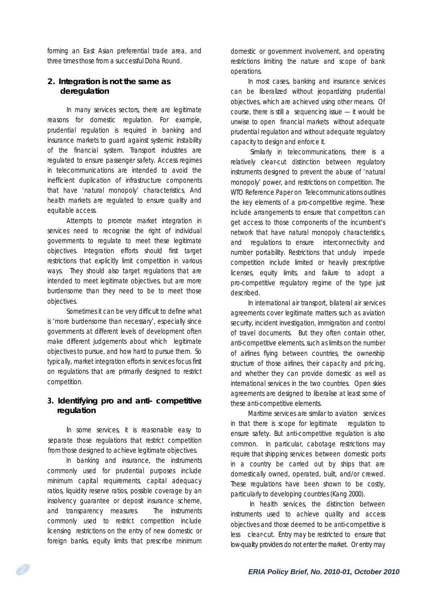forming an East Asian preferential trade area, and three times those from a successful Doha Round.

## **2. Integration is not the same as deregulation**

In many services sectors, there are legitimate reasons for domestic regulation. For example, prudential regulation is required in banking and insurance markets to guard against systemic instability of the financial system. Transport industries are regulated to ensure passenger safety. Access regimes in telecommunications are intended to avoid the inefficient duplication of infrastructure components that have 'natural monopoly' characteristics. And health markets are regulated to ensure quality and equitable access.

 Attempts to promote market integration in services need to recognise the right of individual governments to regulate to meet these legitimate objectives. Integration efforts should first target restrictions that explicitly limit competition in various ways. They should also target regulations that are intended to meet legitimate objectives, but are more burdensome than they need to be to meet those objectives.

 Sometimes it can be very difficult to define what is 'more burdensome than necessary', especially since governments at different levels of development often make different judgements about which legitimate objectives to pursue, and how hard to pursue them. So typically, market integration efforts in services focus first on regulations that are primarily designed to restrict competition.

### **3. Identifying pro and anti- competitive regulation**

 In some services, it is reasonable easy to separate those regulations that restrict competition from those designed to achieve legitimate objectives.

 In banking and insurance, the instruments commonly used for prudential purposes include minimum capital requirements, capital adequacy ratios, liquidity reserve ratios, possible coverage by an insolvency guarantee or deposit insurance scheme, and transparency measures. The instruments commonly used to restrict competition include licensing restrictions on the entry of new domestic or foreign banks, equity limits that prescribe minimum domestic or government involvement, and operating restrictions limiting the nature and scope of bank operations.

 In most cases, banking and insurance services can be liberalized without jeopardizing prudential objectives, which are achieved using other means. Of course, there is still a sequencing issue — it would be unwise to open financial markets without adequate prudential regulation and without adequate regulatory capacity to design and enforce it.

Similarly in telecommunications, there is a relatively clear-cut distinction between regulatory instruments designed to prevent the abuse of 'natural monopoly' power, and restrictions on competition. The WTO Reference Paper on Telecommunications outlines the key elements of a pro-competitive regime. These include arrangements to ensure that competitors can get access to those components of the incumbent's network that have natural monopoly characteristics, and regulations to ensure interconnectivity and number portability. Restrictions that unduly impede competition include limited or heavily prescriptive licenses, equity limits, and failure to adopt a pro-competitive regulatory regime of the type just described.

 In international air transport, bilateral air services agreements cover legitimate matters such as aviation security, incident investigation, immigration and control of travel documents. But they often contain other, anti-competitive elements, such as limits on the number of airlines flying between countries, the ownership structure of those airlines, their capacity and pricing, and whether they can provide domestic as well as international services in the two countries. Open skies agreements are designed to liberalise at least some of these anti-competitive elements.

 Maritime services are similar to aviation services in that there is scope for legitimate regulation to ensure safety. But anti-competitive regulation is also common. In particular, cabotage restrictions may require that shipping services between domestic ports in a country be carried out by ships that are domestically owned, operated, built, and/or crewed. These regulations have been shown to be costly, particularly to developing countries (Kang 2000).

 In health services, the distinction between instruments used to achieve quality and access objectives and those deemed to be anti-competitive is less clear-cut. Entry may be restricted to ensure that low-quality providers do not enter the market. Or entry may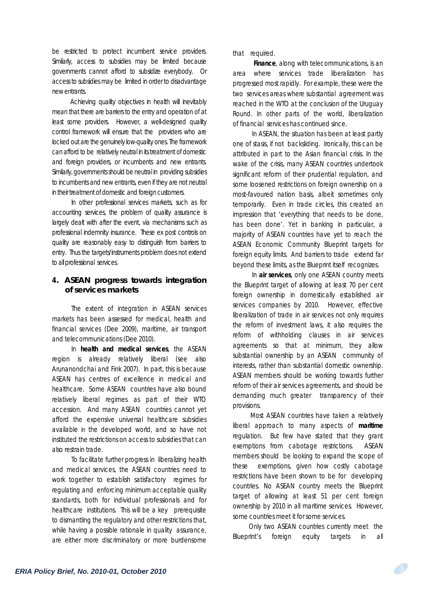be restricted to protect incumbent service providers. Similarly, access to subsidies may be limited because governments cannot afford to subsidize everybody. Or access to subsidies may be limited in order to disadvantage new entrants.

 Achieving quality objectives in health will inevitably mean that there are barriers to the entry and operation of at least some providers. However, a well-designed quality control framework will ensure that the providers who are locked out are the genuinely low-quality ones. The framework can afford to be relatively neutral in its treatment of domestic and foreign providers, or incumbents and new entrants. Similarly, governments should be neutral in providing subsidies to incumbents and new entrants, even if they are not neutral in their treatment of domestic and foreign customers.

In other professional services markets, such as for accounting services, the problem of quality assurance is largely dealt with after the event, via mechanisms such as professional indemnity insurance. These ex post controls on quality are reasonably easy to distinguish from barriers to entry. Thus the targets/instruments problem does not extend to all professional services.

### **4. ASEAN progress towards integration of services markets**

The extent of integration in ASEAN services markets has been assessed for medical, health and financial services (Dee 2009), maritime, air transport and telecommunications (Dee 2010).

 In **health and medical services**, the ASEAN region is already relatively liberal (see also Arunanondchai and Fink 2007). In part, this is because ASEAN has centres of excellence in medical and healthcare. Some ASEAN countries have also bound relatively liberal regimes as part of their WTO accession. And many ASEAN countries cannot yet afford the expensive universal healthcare subsidies available in the developed world, and so have not instituted the restrictions on access to subsidies that can also restrain trade.

 To facilitate further progress in liberalizing health and medical services, the ASEAN countries need to work together to establish satisfactory regimes for regulating and enforcing *minimum acceptable* quality standards, both for individual professionals and for healthcare institutions. This will be a key prerequisite to dismantling the regulatory and other restrictions that, while having a possible rationale in quality assurance, are either more discriminatory or more burdensome

that required.

 **Finance**, along with telecommunications, is an area where services trade liberalization has progressed most rapidly. For example, these were the two services areas where substantial agreement was reached in the WTO at the conclusion of the Uruguay Round. In other parts of the world, liberalization of financial services has continued since.

 In ASEAN, the situation has been at least partly one of stasis, if not backsliding. Ironically, this can be attributed in part to the Asian financial crisis. In the wake of the crisis, many ASEAN countries undertook significant reform of their prudential regulation, and some loosened restrictions on foreign ownership on a most-favoured nation basis, albeit sometimes only temporarily. Even in trade circles, this created an impression that 'everything that needs to be done, has been done'. Yet in banking in particular, a majority of ASEAN countries have yet to reach the ASEAN Economic Community Blueprint targets for foreign equity limits. And barriers to trade extend far beyond these limits, as the Blueprint itself recognizes.

 In **air services**, only one ASEAN country meets the Blueprint target of allowing at least 70 per cent foreign ownership in domestically established air services companies by 2010. However, effective liberalization of trade in air services not only requires the reform of investment laws, it also requires the reform of withholding clauses in air services agreements so that at minimum, they allow substantial ownership by an *ASEAN community of interests*, rather than substantial *domestic* ownership. ASEAN members should be working towards further reform of their air services agreements, and should be demanding much greater transparency of their provisions.

 Most ASEAN countries have taken a relatively liberal approach to many aspects of **maritime**  regulation. But few have stated that they grant exemptions from cabotage restrictions. ASEAN members should be looking to expand the scope of these exemptions, given how costly cabotage restrictions have been shown to be for developing countries. No ASEAN country meets the Blueprint target of allowing at least 51 per cent foreign ownership by 2010 in all maritime services. However, some countries meet it for some services.

 Only two ASEAN countries currently meet the Blueprint's foreign equity targets in all